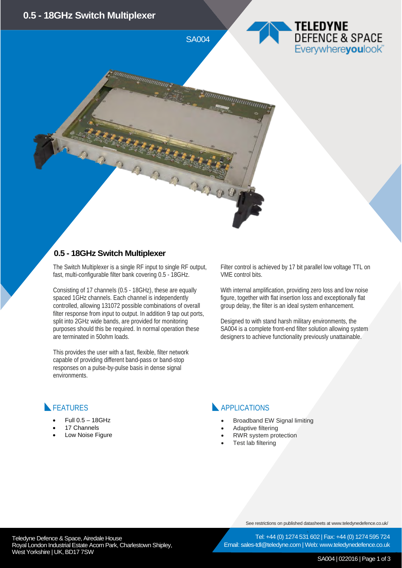

#### **0.5 - 18GHz Switch Multiplexer**

The Switch Multiplexer is a single RF input to single RF output, fast, multi-configurable filter bank covering 0.5 - 18GHz.

Consisting of 17 channels (0.5 - 18GHz), these are equally spaced 1GHz channels. Each channel is independently controlled, allowing 131072 possible combinations of overall filter response from input to output. In addition 9 tap out ports, split into 2GHz wide bands, are provided for monitoring purposes should this be required. In normal operation these are terminated in 50ohm loads.

This provides the user with a fast, flexible, filter network capable of providing different band-pass or band-stop responses on a pulse-by-pulse basis in dense signal environments.

Filter control is achieved by 17 bit parallel low voltage TTL on VME control bits.

With internal amplification, providing zero loss and low noise figure, together with flat insertion loss and exceptionally flat group delay, the filter is an ideal system enhancement.

Designed to with stand harsh military environments, the SA004 is a complete front-end filter solution allowing system designers to achieve functionality previously unattainable.

### FEATURES

- Full 0.5 18GHz
- 17 Channels
- Low Noise Figure

### APPLICATIONS

- Broadband EW Signal limiting
- Adaptive filtering
- RWR system protection
- Test lab filtering

See restrictions on published datasheets at www.teledynedefence.co.uk/

Tel: +44 (0) 1274 531 602 | Fax: +44 (0) 1274 595 724 Email: sales-tdl@teledyne.com | Web: www.teledynedefence.co.uk

Teledyne Defence & Space, Airedale House and the state of the state of the Teledyne Defence & Space, Airedale House Royal London Industrial Estate Acorn Park, Charlestown Shipley, West Yorkshire | UK, BD17 7SW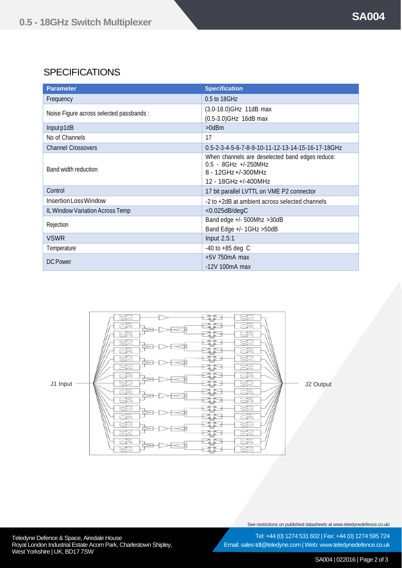# **SPECIFICATIONS**

| <b>Parameter</b>                         | <b>Specification</b>                                                                                                      |
|------------------------------------------|---------------------------------------------------------------------------------------------------------------------------|
| Frequency                                | 0.5 to 18GHz                                                                                                              |
| Noise Figure across selected passbands : | (3.0-18.0) GHz 11dB max                                                                                                   |
|                                          | (0.5-3.0) GHz 16dB max                                                                                                    |
| Input p1dB                               | $>0$ d $Bm$                                                                                                               |
| No of Channels                           | 17                                                                                                                        |
| <b>Channel Crossovers</b>                | 0.5-2-3-4-5-6-7-8-9-10-11-12-13-14-15-16-17-18GHz                                                                         |
| Band width reduction                     | When channels are deselected band edges reduce:<br>$0.5 - 8$ GHz +/-250MHz<br>8 - 12GHz +/-300MHz<br>12 - 18GHz +/-400MHz |
| Control                                  | 17 bit parallel LVTTL on VME P2 connector                                                                                 |
| Insertion Loss Window                    | -2 to +2dB at ambient across selected channels                                                                            |
| IL Window Variation Across Temp          | $<$ 0.025dB/degC                                                                                                          |
| Rejection                                | Band edge +/- 500Mhz >30dB                                                                                                |
|                                          | Band Edge +/- 1GHz > 50dB                                                                                                 |
| <b>VSWR</b>                              | <b>Input 2.5:1</b>                                                                                                        |
| Temperature                              | $-40$ to $+85$ deg C                                                                                                      |
| DC Power                                 | $+5V$ 750 $mA$ max                                                                                                        |
|                                          | $-12V$ 100mA max                                                                                                          |



See restrictions on published datasheets at www.teledynedefence.co.uk/

Teledyne Defence & Space, Airedale House and the state of the state of the Tel: +44 (0) 1274 531 Royal London Industrial Estate Acorn Park, Charlestown Shipley, West Yorkshire | UK, BD17 7SW

Tel: +44 (0) 1274 531 602 | Fax: +44 (0) 1274 595 724 Email: sales-tdl@teledyne.com | Web: www.teledynedefence.co.uk